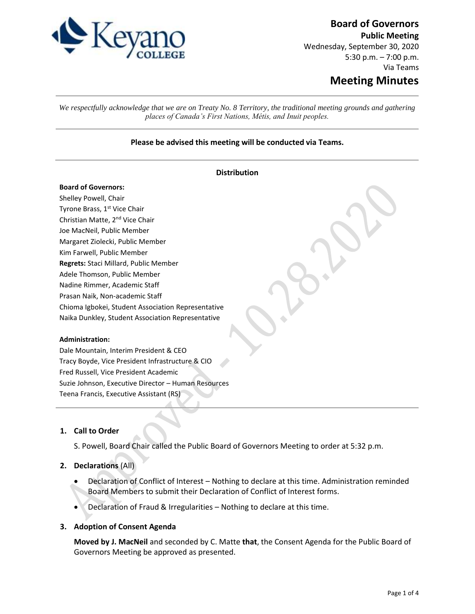

# **Board of Governors**

**Public Meeting** Wednesday, September 30, 2020 5:30 p.m. – 7:00 p.m. Via Teams **Meeting Minutes**

*We respectfully acknowledge that we are on Treaty No. 8 Territory, the traditional meeting grounds and gathering places of Canada's First Nations, Métis, and Inuit peoples.*

## **Please be advised this meeting will be conducted via Teams.**

| <b>Distribution</b>                                 |
|-----------------------------------------------------|
| <b>Board of Governors:</b>                          |
| Shelley Powell, Chair                               |
| Tyrone Brass, 1 <sup>st</sup> Vice Chair            |
| Christian Matte, 2 <sup>nd</sup> Vice Chair         |
| Joe MacNeil, Public Member                          |
| Margaret Ziolecki, Public Member                    |
| Kim Farwell, Public Member                          |
| Regrets: Staci Millard, Public Member               |
| Adele Thomson, Public Member                        |
| Nadine Rimmer, Academic Staff                       |
| Prasan Naik, Non-academic Staff                     |
| Chioma Igbokei, Student Association Representative  |
| Naika Dunkley, Student Association Representative   |
|                                                     |
| <b>Administration:</b>                              |
| Dale Mountain, Interim President & CEO              |
| Tracy Boyde, Vice President Infrastructure & CIO    |
| Fred Russell, Vice President Academic               |
| Suzie Johnson, Executive Director - Human Resources |
| Teena Francis, Executive Assistant (RS)             |

# **1. Call to Order**

S. Powell, Board Chair called the Public Board of Governors Meeting to order at 5:32 p.m.

# **2. Declarations** (All)

- Declaration of Conflict of Interest Nothing to declare at this time. Administration reminded Board Members to submit their Declaration of Conflict of Interest forms.
- Declaration of Fraud & Irregularities Nothing to declare at this time.

#### **3. Adoption of Consent Agenda**

**Moved by J. MacNeil** and seconded by C. Matte **that**, the Consent Agenda for the Public Board of Governors Meeting be approved as presented.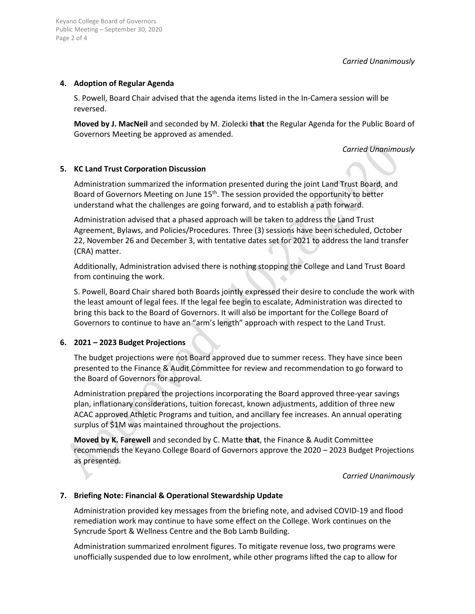*Carried Unanimously*

## **4. Adoption of Regular Agenda**

Keyano College Board of Governors

Page 2 of 4

S. Powell, Board Chair advised that the agenda items listed in the In-Camera session will be reversed.

**Moved by J. MacNeil** and seconded by M. Ziolecki **that** the Regular Agenda for the Public Board of Governors Meeting be approved as amended.

*Carried Unanimously*

# **5. KC Land Trust Corporation Discussion**

Administration summarized the information presented during the joint Land Trust Board, and Board of Governors Meeting on June 15<sup>th</sup>. The session provided the opportunity to better understand what the challenges are going forward, and to establish a path forward.

Administration advised that a phased approach will be taken to address the Land Trust Agreement, Bylaws, and Policies/Procedures. Three (3) sessions have been scheduled, October 22, November 26 and December 3, with tentative dates set for 2021 to address the land transfer (CRA) matter.

Additionally, Administration advised there is nothing stopping the College and Land Trust Board from continuing the work.

S. Powell, Board Chair shared both Boards jointly expressed their desire to conclude the work with the least amount of legal fees. If the legal fee begin to escalate, Administration was directed to bring this back to the Board of Governors. It will also be important for the College Board of Governors to continue to have an "arm's length" approach with respect to the Land Trust.

#### **6. 2021 – 2023 Budget Projections**

The budget projections were not Board approved due to summer recess. They have since been presented to the Finance & Audit Committee for review and recommendation to go forward to the Board of Governors for approval.

Administration prepared the projections incorporating the Board approved three-year savings plan, inflationary considerations, tuition forecast, known adjustments, addition of three new ACAC approved Athletic Programs and tuition, and ancillary fee increases. An annual operating surplus of \$1M was maintained throughout the projections.

**Moved by K. Farewell** and seconded by C. Matte **that**, the Finance & Audit Committee recommends the Keyano College Board of Governors approve the 2020 – 2023 Budget Projections as presented.

*Carried Unanimously*

## **7. Briefing Note: Financial & Operational Stewardship Update**

Administration provided key messages from the briefing note, and advised COVID-19 and flood remediation work may continue to have some effect on the College. Work continues on the Syncrude Sport & Wellness Centre and the Bob Lamb Building.

Administration summarized enrolment figures. To mitigate revenue loss, two programs were unofficially suspended due to low enrolment, while other programs lifted the cap to allow for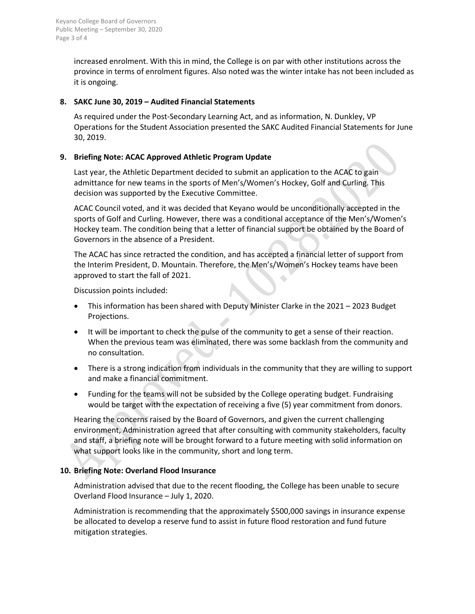increased enrolment. With this in mind, the College is on par with other institutions across the province in terms of enrolment figures. Also noted was the winter intake has not been included as it is ongoing.

# **8. SAKC June 30, 2019 – Audited Financial Statements**

As required under the Post-Secondary Learning Act, and as information, N. Dunkley, VP Operations for the Student Association presented the SAKC Audited Financial Statements for June 30, 2019.

# **9. Briefing Note: ACAC Approved Athletic Program Update**

Last year, the Athletic Department decided to submit an application to the ACAC to gain admittance for new teams in the sports of Men's/Women's Hockey, Golf and Curling. This decision was supported by the Executive Committee.

ACAC Council voted, and it was decided that Keyano would be unconditionally accepted in the sports of Golf and Curling. However, there was a conditional acceptance of the Men's/Women's Hockey team. The condition being that a letter of financial support be obtained by the Board of Governors in the absence of a President.

The ACAC has since retracted the condition, and has accepted a financial letter of support from the Interim President, D. Mountain. Therefore, the Men's/Women's Hockey teams have been approved to start the fall of 2021.  $\bullet$ 

Discussion points included:

- This information has been shared with Deputy Minister Clarke in the 2021 2023 Budget Projections.
- It will be important to check the pulse of the community to get a sense of their reaction. When the previous team was eliminated, there was some backlash from the community and no consultation.
- There is a strong indication from individuals in the community that they are willing to support and make a financial commitment.
- Funding for the teams will not be subsided by the College operating budget. Fundraising would be target with the expectation of receiving a five (5) year commitment from donors.

Hearing the concerns raised by the Board of Governors, and given the current challenging environment, Administration agreed that after consulting with community stakeholders, faculty and staff, a briefing note will be brought forward to a future meeting with solid information on what support looks like in the community, short and long term.

# **10. Briefing Note: Overland Flood Insurance**

Administration advised that due to the recent flooding, the College has been unable to secure Overland Flood Insurance – July 1, 2020.

Administration is recommending that the approximately \$500,000 savings in insurance expense be allocated to develop a reserve fund to assist in future flood restoration and fund future mitigation strategies.